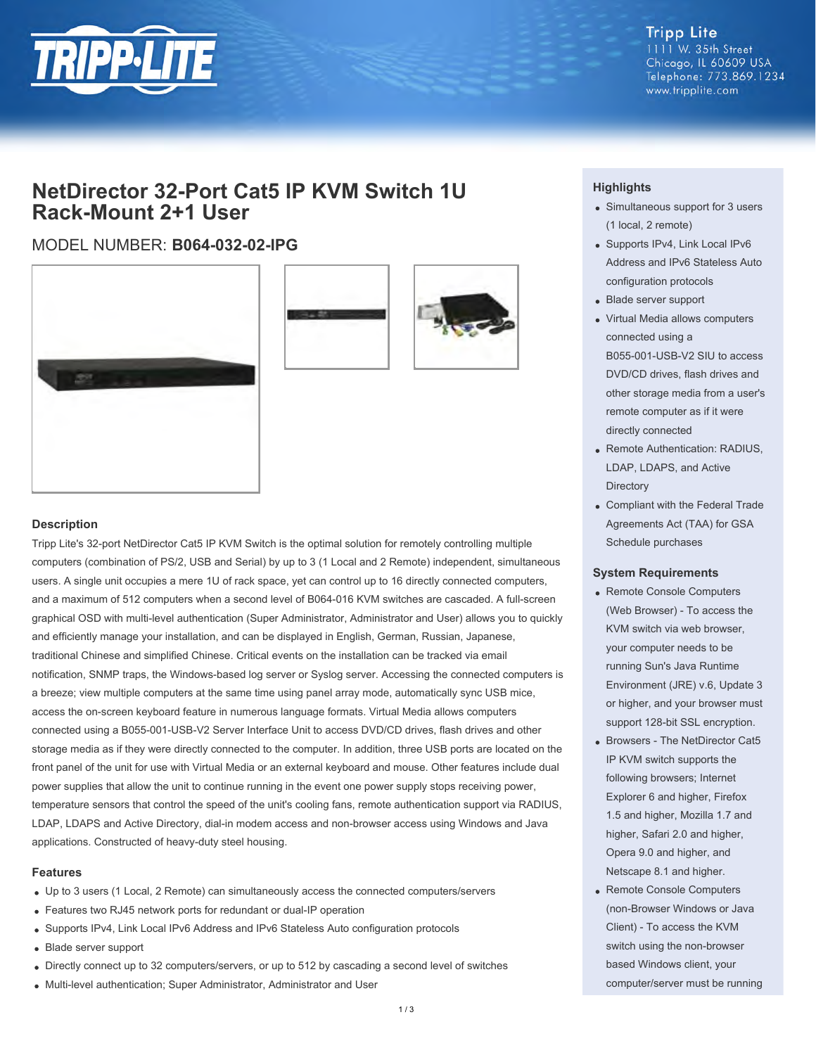

**Tripp Lite** 1111 W. 35th Street Chicago, IL 60609 USA Telephone: 773.869.1234 www.tripplite.com

## **NetDirector 32-Port Cat5 IP KVM Switch 1U Rack-Mount 2+1 User**

### MODEL NUMBER: **B064-032-02-IPG**





#### **Description**

Tripp Lite's 32-port NetDirector Cat5 IP KVM Switch is the optimal solution for remotely controlling multiple computers (combination of PS/2, USB and Serial) by up to 3 (1 Local and 2 Remote) independent, simultaneous users. A single unit occupies a mere 1U of rack space, yet can control up to 16 directly connected computers, and a maximum of 512 computers when a second level of B064-016 KVM switches are cascaded. A full-screen graphical OSD with multi-level authentication (Super Administrator, Administrator and User) allows you to quickly and efficiently manage your installation, and can be displayed in English, German, Russian, Japanese, traditional Chinese and simplified Chinese. Critical events on the installation can be tracked via email notification, SNMP traps, the Windows-based log server or Syslog server. Accessing the connected computers is a breeze; view multiple computers at the same time using panel array mode, automatically sync USB mice, access the on-screen keyboard feature in numerous language formats. Virtual Media allows computers connected using a B055-001-USB-V2 Server Interface Unit to access DVD/CD drives, flash drives and other storage media as if they were directly connected to the computer. In addition, three USB ports are located on the front panel of the unit for use with Virtual Media or an external keyboard and mouse. Other features include dual power supplies that allow the unit to continue running in the event one power supply stops receiving power, temperature sensors that control the speed of the unit's cooling fans, remote authentication support via RADIUS, LDAP, LDAPS and Active Directory, dial-in modem access and non-browser access using Windows and Java applications. Constructed of heavy-duty steel housing.

#### **Features**

- Up to 3 users (1 Local, 2 Remote) can simultaneously access the connected computers/servers
- Features two RJ45 network ports for redundant or dual-IP operation
- Supports IPv4, Link Local IPv6 Address and IPv6 Stateless Auto configuration protocols
- Blade server support
- Directly connect up to 32 computers/servers, or up to 512 by cascading a second level of switches
- Multi-level authentication; Super Administrator, Administrator and User

#### **Highlights**

- Simultaneous support for 3 users (1 local, 2 remote)
- Supports IPv4, Link Local IPv6 Address and IPv6 Stateless Auto configuration protocols
- Blade server support
- Virtual Media allows computers connected using a B055-001-USB-V2 SIU to access DVD/CD drives, flash drives and other storage media from a user's remote computer as if it were directly connected
- Remote Authentication: RADIUS, LDAP, LDAPS, and Active **Directory**
- Compliant with the Federal Trade Agreements Act (TAA) for GSA Schedule purchases

#### **System Requirements**

- Remote Console Computers (Web Browser) - To access the KVM switch via web browser, your computer needs to be running Sun's Java Runtime Environment (JRE) v.6, Update 3 or higher, and your browser must support 128-bit SSL encryption.
- Browsers The NetDirector Cat5 IP KVM switch supports the following browsers; Internet Explorer 6 and higher, Firefox 1.5 and higher, Mozilla 1.7 and higher, Safari 2.0 and higher, Opera 9.0 and higher, and Netscape 8.1 and higher.
- Remote Console Computers (non-Browser Windows or Java Client) - To access the KVM switch using the non-browser based Windows client, your computer/server must be running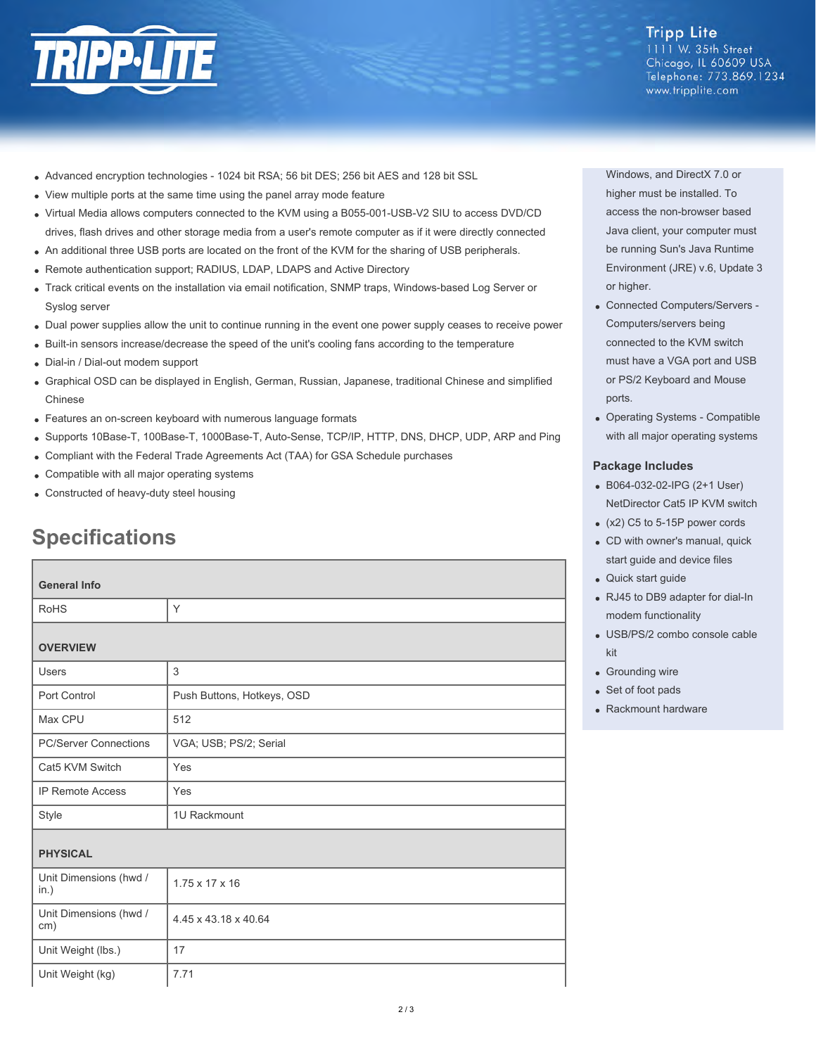

## **Tripp Lite**

1111 W. 35th Street Chicago, IL 60609 USA Telephone: 773.869.1234 www.tripplite.com

- Advanced encryption technologies 1024 bit RSA; 56 bit DES; 256 bit AES and 128 bit SSL
- View multiple ports at the same time using the panel array mode feature
- Virtual Media allows computers connected to the KVM using a B055-001-USB-V2 SIU to access DVD/CD drives, flash drives and other storage media from a user's remote computer as if it were directly connected
- An additional three USB ports are located on the front of the KVM for the sharing of USB peripherals.
- Remote authentication support; RADIUS, LDAP, LDAPS and Active Directory
- Track critical events on the installation via email notification, SNMP traps, Windows-based Log Server or Syslog server
- Dual power supplies allow the unit to continue running in the event one power supply ceases to receive power
- Built-in sensors increase/decrease the speed of the unit's cooling fans according to the temperature
- Dial-in / Dial-out modem support
- Graphical OSD can be displayed in English, German, Russian, Japanese, traditional Chinese and simplified Chinese
- Features an on-screen keyboard with numerous language formats
- Supports 10Base-T, 100Base-T, 1000Base-T, Auto-Sense, TCP/IP, HTTP, DNS, DHCP, UDP, ARP and Ping
- Compliant with the Federal Trade Agreements Act (TAA) for GSA Schedule purchases
- Compatible with all major operating systems
- Constructed of heavy-duty steel housing

# **Specifications**

| <b>General Info</b>            |                            |
|--------------------------------|----------------------------|
| <b>RoHS</b>                    | Y                          |
| <b>OVERVIEW</b>                |                            |
| <b>Users</b>                   | 3                          |
| Port Control                   | Push Buttons, Hotkeys, OSD |
| Max CPU                        | 512                        |
| <b>PC/Server Connections</b>   | VGA; USB; PS/2; Serial     |
| Cat5 KVM Switch                | Yes                        |
| <b>IP Remote Access</b>        | Yes                        |
| Style                          | 1U Rackmount               |
| <b>PHYSICAL</b>                |                            |
| Unit Dimensions (hwd /<br>in.) | $1.75 \times 17 \times 16$ |
| Unit Dimensions (hwd /<br>cm)  | 4.45 x 43.18 x 40.64       |
| Unit Weight (lbs.)             | 17                         |
| Unit Weight (kg)               | 7.71                       |

Windows, and DirectX 7.0 or higher must be installed. To access the non-browser based Java client, your computer must be running Sun's Java Runtime Environment (JRE) v.6, Update 3 or higher.

- Connected Computers/Servers Computers/servers being connected to the KVM switch must have a VGA port and USB or PS/2 Keyboard and Mouse ports.
- Operating Systems Compatible with all major operating systems

#### **Package Includes**

- B064-032-02-IPG (2+1 User) NetDirector Cat5 IP KVM switch
- (x2) C5 to 5-15P power cords
- CD with owner's manual, quick start guide and device files
- Quick start guide
- RJ45 to DB9 adapter for dial-In modem functionality
- USB/PS/2 combo console cable kit
- Grounding wire
- Set of foot pads
- Rackmount hardware